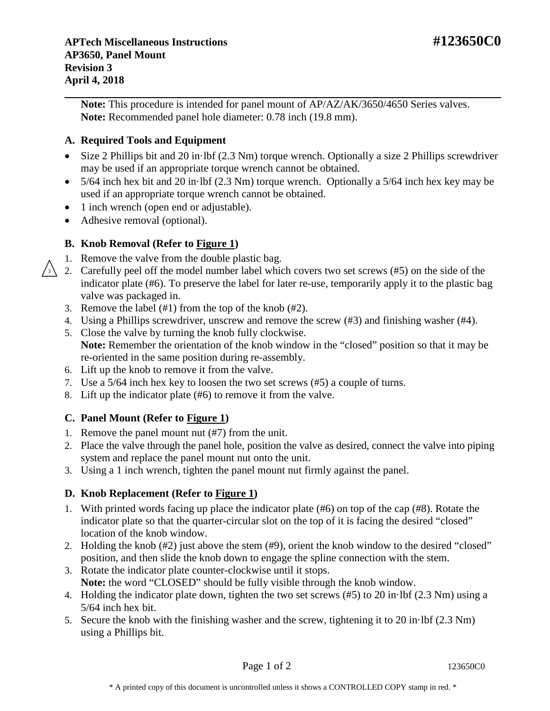**Note:** This procedure is intended for panel mount of AP/AZ/AK/3650/4650 Series valves. **Note:** Recommended panel hole diameter: 0.78 inch (19.8 mm).

# **A. Required Tools and Equipment**

- Size 2 Phillips bit and 20 in·lbf (2.3 Nm) torque wrench. Optionally a size 2 Phillips screwdriver may be used if an appropriate torque wrench cannot be obtained.
- 5/64 inch hex bit and 20 in·lbf (2.3 Nm) torque wrench. Optionally a 5/64 inch hex key may be used if an appropriate torque wrench cannot be obtained.
- 1 inch wrench (open end or adjustable).
- Adhesive removal (optional).

## **B. Knob Removal (Refer to Figure 1)**

- 1. Remove the valve from the double plastic bag.
- 2. Carefully peel off the model number label which covers two set screws (#5) on the side of the indicator plate (#6). To preserve the label for later re-use, temporarily apply it to the plastic bag valve was packaged in. 3
	- 3. Remove the label (#1) from the top of the knob (#2).
	- 4. Using a Phillips screwdriver, unscrew and remove the screw (#3) and finishing washer (#4).
	- 5. Close the valve by turning the knob fully clockwise. **Note:** Remember the orientation of the knob window in the "closed" position so that it may be re-oriented in the same position during re-assembly.
	- 6. Lift up the knob to remove it from the valve.
	- 7. Use a 5/64 inch hex key to loosen the two set screws (#5) a couple of turns.
	- 8. Lift up the indicator plate (#6) to remove it from the valve.

### **C. Panel Mount (Refer to Figure 1)**

- 1. Remove the panel mount nut (#7) from the unit.
- 2. Place the valve through the panel hole, position the valve as desired, connect the valve into piping system and replace the panel mount nut onto the unit.
- 3. Using a 1 inch wrench, tighten the panel mount nut firmly against the panel.

### **D. Knob Replacement (Refer to Figure 1)**

- 1. With printed words facing up place the indicator plate (#6) on top of the cap (#8). Rotate the indicator plate so that the quarter-circular slot on the top of it is facing the desired "closed" location of the knob window.
- 2. Holding the knob (#2) just above the stem (#9), orient the knob window to the desired "closed" position, and then slide the knob down to engage the spline connection with the stem.
- 3. Rotate the indicator plate counter-clockwise until it stops. **Note:** the word "CLOSED" should be fully visible through the knob window.
- 4. Holding the indicator plate down, tighten the two set screws (#5) to 20 in·lbf (2.3 Nm) using a 5/64 inch hex bit.
- 5. Secure the knob with the finishing washer and the screw, tightening it to 20 in·lbf (2.3 Nm) using a Phillips bit.